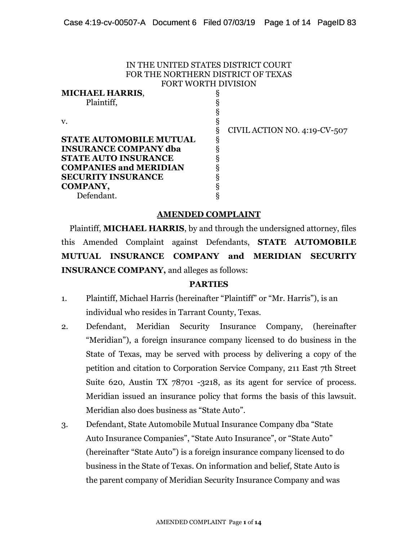#### IN THE UNITED STATES DISTRICT COURT FOR THE NORTHERN DISTRICT OF TEXAS FORT WORTH DIVISION

| <b>MICHAEL HARRIS,</b>         |                              |
|--------------------------------|------------------------------|
| Plaintiff,                     |                              |
|                                |                              |
| V.                             |                              |
|                                | CIVIL ACTION NO. 4:19-CV-507 |
| <b>STATE AUTOMOBILE MUTUAL</b> |                              |
| <b>INSURANCE COMPANY dba</b>   |                              |
| <b>STATE AUTO INSURANCE</b>    |                              |
| <b>COMPANIES and MERIDIAN</b>  |                              |
| <b>SECURITY INSURANCE</b>      |                              |
| <b>COMPANY,</b>                |                              |
| Defendant.                     |                              |

### **AMENDED COMPLAINT**

Plaintiff, **MICHAEL HARRIS**, by and through the undersigned attorney, files this Amended Complaint against Defendants, **STATE AUTOMOBILE MUTUAL INSURANCE COMPANY and MERIDIAN SECURITY INSURANCE COMPANY,** and alleges as follows:

#### **PARTIES**

- 1. Plaintiff, Michael Harris (hereinafter "Plaintiff" or "Mr. Harris"), is an individual who resides in Tarrant County, Texas.
- 2. Defendant, Meridian Security Insurance Company, (hereinafter "Meridian"), a foreign insurance company licensed to do business in the State of Texas, may be served with process by delivering a copy of the petition and citation to Corporation Service Company, 211 East 7th Street Suite 620, Austin TX 78701 -3218, as its agent for service of process. Meridian issued an insurance policy that forms the basis of this lawsuit. Meridian also does business as "State Auto".
- 3. Defendant, State Automobile Mutual Insurance Company dba "State Auto Insurance Companies", "State Auto Insurance", or "State Auto" (hereinafter "State Auto") is a foreign insurance company licensed to do business in the State of Texas. On information and belief, State Auto is the parent company of Meridian Security Insurance Company and was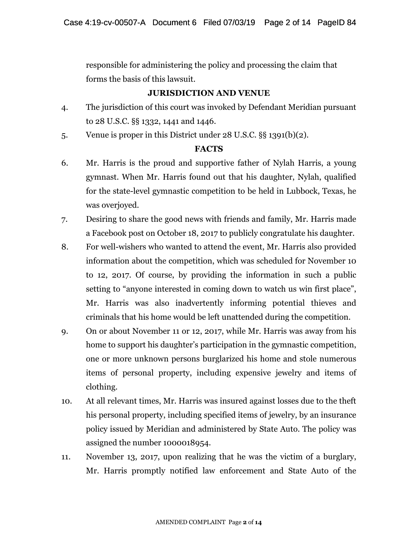responsible for administering the policy and processing the claim that forms the basis of this lawsuit.

## **JURISDICTION AND VENUE**

- 4. The jurisdiction of this court was invoked by Defendant Meridian pursuant to 28 U.S.C. §§ 1332, 1441 and 1446.
- 5. Venue is proper in this District under 28 U.S.C. §§ 1391(b)(2).

### **FACTS**

- 6. Mr. Harris is the proud and supportive father of Nylah Harris, a young gymnast. When Mr. Harris found out that his daughter, Nylah, qualified for the state-level gymnastic competition to be held in Lubbock, Texas, he was overjoyed.
- 7. Desiring to share the good news with friends and family, Mr. Harris made a Facebook post on October 18, 2017 to publicly congratulate his daughter.
- 8. For well-wishers who wanted to attend the event, Mr. Harris also provided information about the competition, which was scheduled for November 10 to 12, 2017. Of course, by providing the information in such a public setting to "anyone interested in coming down to watch us win first place", Mr. Harris was also inadvertently informing potential thieves and criminals that his home would be left unattended during the competition.
- 9. On or about November 11 or 12, 2017, while Mr. Harris was away from his home to support his daughter's participation in the gymnastic competition, one or more unknown persons burglarized his home and stole numerous items of personal property, including expensive jewelry and items of clothing.
- 10. At all relevant times, Mr. Harris was insured against losses due to the theft his personal property, including specified items of jewelry, by an insurance policy issued by Meridian and administered by State Auto. The policy was assigned the number 1000018954.
- 11. November 13, 2017, upon realizing that he was the victim of a burglary, Mr. Harris promptly notified law enforcement and State Auto of the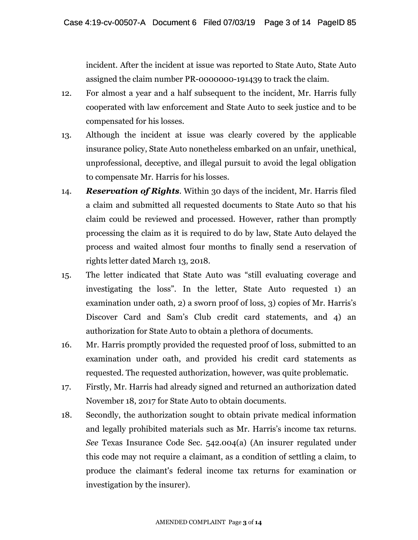incident. After the incident at issue was reported to State Auto, State Auto assigned the claim number PR-0000000-191439 to track the claim.

- 12. For almost a year and a half subsequent to the incident, Mr. Harris fully cooperated with law enforcement and State Auto to seek justice and to be compensated for his losses.
- 13. Although the incident at issue was clearly covered by the applicable insurance policy, State Auto nonetheless embarked on an unfair, unethical, unprofessional, deceptive, and illegal pursuit to avoid the legal obligation to compensate Mr. Harris for his losses.
- 14. *Reservation of Rights*. Within 30 days of the incident, Mr. Harris filed a claim and submitted all requested documents to State Auto so that his claim could be reviewed and processed. However, rather than promptly processing the claim as it is required to do by law, State Auto delayed the process and waited almost four months to finally send a reservation of rights letter dated March 13, 2018.
- 15. The letter indicated that State Auto was "still evaluating coverage and investigating the loss". In the letter, State Auto requested 1) an examination under oath, 2) a sworn proof of loss, 3) copies of Mr. Harris's Discover Card and Sam's Club credit card statements, and 4) an authorization for State Auto to obtain a plethora of documents.
- 16. Mr. Harris promptly provided the requested proof of loss, submitted to an examination under oath, and provided his credit card statements as requested. The requested authorization, however, was quite problematic.
- 17. Firstly, Mr. Harris had already signed and returned an authorization dated November 18, 2017 for State Auto to obtain documents.
- 18. Secondly, the authorization sought to obtain private medical information and legally prohibited materials such as Mr. Harris's income tax returns. *See* Texas Insurance Code Sec. 542.004(a) (An insurer regulated under this code may not require a claimant, as a condition of settling a claim, to produce the claimant's federal income tax returns for examination or investigation by the insurer).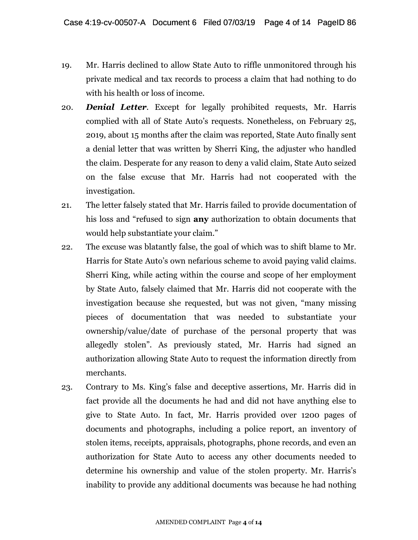- 19. Mr. Harris declined to allow State Auto to riffle unmonitored through his private medical and tax records to process a claim that had nothing to do with his health or loss of income.
- 20. *Denial Letter*. Except for legally prohibited requests, Mr. Harris complied with all of State Auto's requests. Nonetheless, on February 25, 2019, about 15 months after the claim was reported, State Auto finally sent a denial letter that was written by Sherri King, the adjuster who handled the claim. Desperate for any reason to deny a valid claim, State Auto seized on the false excuse that Mr. Harris had not cooperated with the investigation.
- 21. The letter falsely stated that Mr. Harris failed to provide documentation of his loss and "refused to sign **any** authorization to obtain documents that would help substantiate your claim."
- 22. The excuse was blatantly false, the goal of which was to shift blame to Mr. Harris for State Auto's own nefarious scheme to avoid paying valid claims. Sherri King, while acting within the course and scope of her employment by State Auto, falsely claimed that Mr. Harris did not cooperate with the investigation because she requested, but was not given, "many missing pieces of documentation that was needed to substantiate your ownership/value/date of purchase of the personal property that was allegedly stolen". As previously stated, Mr. Harris had signed an authorization allowing State Auto to request the information directly from merchants.
- 23. Contrary to Ms. King's false and deceptive assertions, Mr. Harris did in fact provide all the documents he had and did not have anything else to give to State Auto. In fact, Mr. Harris provided over 1200 pages of documents and photographs, including a police report, an inventory of stolen items, receipts, appraisals, photographs, phone records, and even an authorization for State Auto to access any other documents needed to determine his ownership and value of the stolen property. Mr. Harris's inability to provide any additional documents was because he had nothing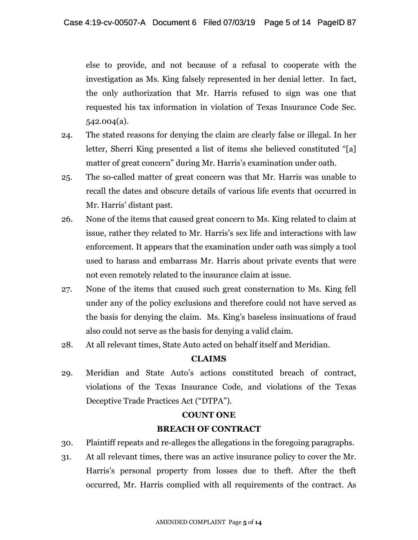else to provide, and not because of a refusal to cooperate with the investigation as Ms. King falsely represented in her denial letter. In fact, the only authorization that Mr. Harris refused to sign was one that requested his tax information in violation of Texas Insurance Code Sec. 542.004(a).

- 24. The stated reasons for denying the claim are clearly false or illegal. In her letter, Sherri King presented a list of items she believed constituted "[a] matter of great concern" during Mr. Harris's examination under oath.
- 25. The so-called matter of great concern was that Mr. Harris was unable to recall the dates and obscure details of various life events that occurred in Mr. Harris' distant past.
- 26. None of the items that caused great concern to Ms. King related to claim at issue, rather they related to Mr. Harris's sex life and interactions with law enforcement. It appears that the examination under oath was simply a tool used to harass and embarrass Mr. Harris about private events that were not even remotely related to the insurance claim at issue.
- 27. None of the items that caused such great consternation to Ms. King fell under any of the policy exclusions and therefore could not have served as the basis for denying the claim. Ms. King's baseless insinuations of fraud also could not serve as the basis for denying a valid claim.
- 28. At all relevant times, State Auto acted on behalf itself and Meridian.

# **CLAIMS**

29. Meridian and State Auto's actions constituted breach of contract, violations of the Texas Insurance Code, and violations of the Texas Deceptive Trade Practices Act ("DTPA").

### **COUNT ONE**

# **BREACH OF CONTRACT**

- 30. Plaintiff repeats and re-alleges the allegations in the foregoing paragraphs.
- 31. At all relevant times, there was an active insurance policy to cover the Mr. Harris's personal property from losses due to theft. After the theft occurred, Mr. Harris complied with all requirements of the contract. As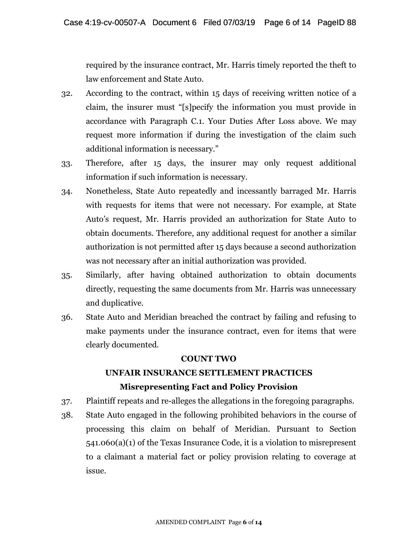required by the insurance contract, Mr. Harris timely reported the theft to law enforcement and State Auto.

- 32. According to the contract, within 15 days of receiving written notice of a claim, the insurer must "[s]pecify the information you must provide in accordance with Paragraph C.1. Your Duties After Loss above. We may request more information if during the investigation of the claim such additional information is necessary."
- 33. Therefore, after 15 days, the insurer may only request additional information if such information is necessary.
- 34. Nonetheless, State Auto repeatedly and incessantly barraged Mr. Harris with requests for items that were not necessary. For example, at State Auto's request, Mr. Harris provided an authorization for State Auto to obtain documents. Therefore, any additional request for another a similar authorization is not permitted after 15 days because a second authorization was not necessary after an initial authorization was provided.
- 35. Similarly, after having obtained authorization to obtain documents directly, requesting the same documents from Mr. Harris was unnecessary and duplicative.
- 36. State Auto and Meridian breached the contract by failing and refusing to make payments under the insurance contract, even for items that were clearly documented.

# **COUNT TWO**

# **UNFAIR INSURANCE SETTLEMENT PRACTICES Misrepresenting Fact and Policy Provision**

- 37. Plaintiff repeats and re-alleges the allegations in the foregoing paragraphs.
- 38. State Auto engaged in the following prohibited behaviors in the course of processing this claim on behalf of Meridian. Pursuant to Section 541.060(a)(1) of the Texas Insurance Code, it is a violation to misrepresent to a claimant a material fact or policy provision relating to coverage at issue.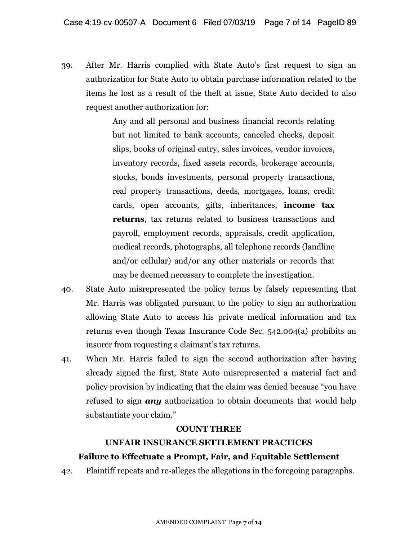39. After Mr. Harris complied with State Auto's first request to sign an authorization for State Auto to obtain purchase information related to the items he lost as a result of the theft at issue, State Auto decided to also request another authorization for:

> Any and all personal and business financial records relating but not limited to bank accounts, canceled checks, deposit slips, books of original entry, sales invoices, vendor invoices, inventory records, fixed assets records, brokerage accounts, stocks, bonds investments, personal property transactions, real property transactions, deeds, mortgages, loans, credit cards, open accounts, gifts, inheritances, **income tax returns**, tax returns related to business transactions and payroll, employment records, appraisals, credit application, medical records, photographs, all telephone records (landline and/or cellular) and/or any other materials or records that may be deemed necessary to complete the investigation.

- 40. State Auto misrepresented the policy terms by falsely representing that Mr. Harris was obligated pursuant to the policy to sign an authorization allowing State Auto to access his private medical information and tax returns even though Texas Insurance Code Sec. 542.004(a) prohibits an insurer from requesting a claimant's tax returns.
- 41. When Mr. Harris failed to sign the second authorization after having already signed the first, State Auto misrepresented a material fact and policy provision by indicating that the claim was denied because "you have refused to sign *any* authorization to obtain documents that would help substantiate your claim."

### **COUNT THREE**

# **UNFAIR INSURANCE SETTLEMENT PRACTICES Failure to Effectuate a Prompt, Fair, and Equitable Settlement**

42. Plaintiff repeats and re-alleges the allegations in the foregoing paragraphs.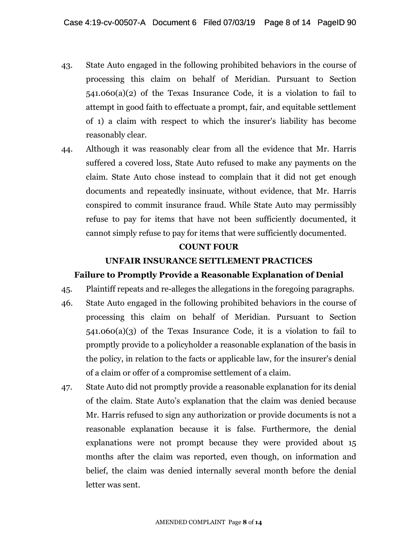- 43. State Auto engaged in the following prohibited behaviors in the course of processing this claim on behalf of Meridian. Pursuant to Section 541.060(a)(2) of the Texas Insurance Code, it is a violation to fail to attempt in good faith to effectuate a prompt, fair, and equitable settlement of 1) a claim with respect to which the insurer's liability has become reasonably clear.
- 44. Although it was reasonably clear from all the evidence that Mr. Harris suffered a covered loss, State Auto refused to make any payments on the claim. State Auto chose instead to complain that it did not get enough documents and repeatedly insinuate, without evidence, that Mr. Harris conspired to commit insurance fraud. While State Auto may permissibly refuse to pay for items that have not been sufficiently documented, it cannot simply refuse to pay for items that were sufficiently documented.

## **COUNT FOUR**

### **UNFAIR INSURANCE SETTLEMENT PRACTICES**

### **Failure to Promptly Provide a Reasonable Explanation of Denial**

- 45. Plaintiff repeats and re-alleges the allegations in the foregoing paragraphs.
- 46. State Auto engaged in the following prohibited behaviors in the course of processing this claim on behalf of Meridian. Pursuant to Section 541.060(a)(3) of the Texas Insurance Code, it is a violation to fail to promptly provide to a policyholder a reasonable explanation of the basis in the policy, in relation to the facts or applicable law, for the insurer's denial of a claim or offer of a compromise settlement of a claim.
- 47. State Auto did not promptly provide a reasonable explanation for its denial of the claim. State Auto's explanation that the claim was denied because Mr. Harris refused to sign any authorization or provide documents is not a reasonable explanation because it is false. Furthermore, the denial explanations were not prompt because they were provided about 15 months after the claim was reported, even though, on information and belief, the claim was denied internally several month before the denial letter was sent.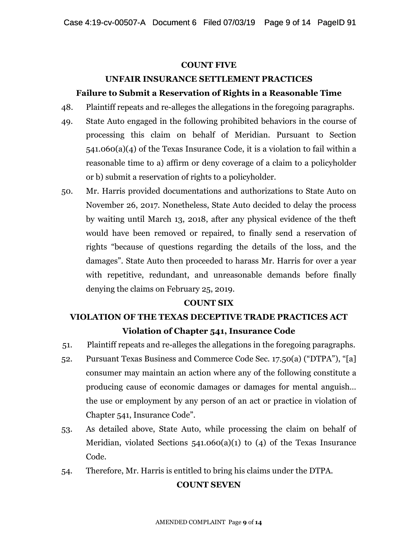## **COUNT FIVE**

# **UNFAIR INSURANCE SETTLEMENT PRACTICES**

# **Failure to Submit a Reservation of Rights in a Reasonable Time**

- 48. Plaintiff repeats and re-alleges the allegations in the foregoing paragraphs.
- 49. State Auto engaged in the following prohibited behaviors in the course of processing this claim on behalf of Meridian. Pursuant to Section 541.060(a)(4) of the Texas Insurance Code, it is a violation to fail within a reasonable time to a) affirm or deny coverage of a claim to a policyholder or b) submit a reservation of rights to a policyholder.
- 50. Mr. Harris provided documentations and authorizations to State Auto on November 26, 2017. Nonetheless, State Auto decided to delay the process by waiting until March 13, 2018, after any physical evidence of the theft would have been removed or repaired, to finally send a reservation of rights "because of questions regarding the details of the loss, and the damages". State Auto then proceeded to harass Mr. Harris for over a year with repetitive, redundant, and unreasonable demands before finally denying the claims on February 25, 2019.

# **COUNT SIX**

# **VIOLATION OF THE TEXAS DECEPTIVE TRADE PRACTICES ACT Violation of Chapter 541, Insurance Code**

- 51. Plaintiff repeats and re-alleges the allegations in the foregoing paragraphs.
- 52. Pursuant Texas Business and Commerce Code Sec. 17.50(a) ("DTPA"), "[a] consumer may maintain an action where any of the following constitute a producing cause of economic damages or damages for mental anguish… the use or employment by any person of an act or practice in violation of Chapter 541, Insurance Code".
- 53. As detailed above, State Auto, while processing the claim on behalf of Meridian, violated Sections 541.060(a)(1) to (4) of the Texas Insurance Code.
- 54. Therefore, Mr. Harris is entitled to bring his claims under the DTPA.

# **COUNT SEVEN**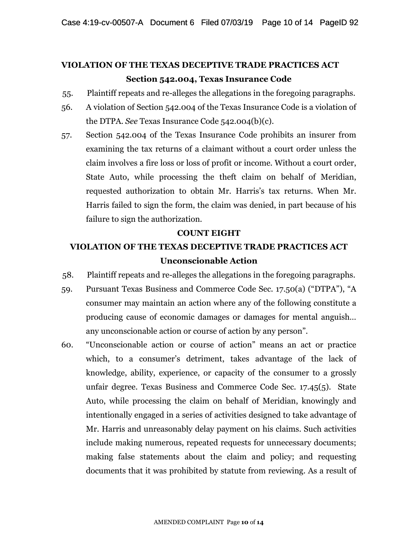# **VIOLATION OF THE TEXAS DECEPTIVE TRADE PRACTICES ACT Section 542.004, Texas Insurance Code**

- 55. Plaintiff repeats and re-alleges the allegations in the foregoing paragraphs.
- 56. A violation of Section 542.004 of the Texas Insurance Code is a violation of the DTPA. *See* Texas Insurance Code 542.004(b)(c).
- 57. Section 542.004 of the Texas Insurance Code prohibits an insurer from examining the tax returns of a claimant without a court order unless the claim involves a fire loss or loss of profit or income. Without a court order, State Auto, while processing the theft claim on behalf of Meridian, requested authorization to obtain Mr. Harris's tax returns. When Mr. Harris failed to sign the form, the claim was denied, in part because of his failure to sign the authorization.

#### **COUNT EIGHT**

# **VIOLATION OF THE TEXAS DECEPTIVE TRADE PRACTICES ACT Unconscionable Action**

- 58. Plaintiff repeats and re-alleges the allegations in the foregoing paragraphs.
- 59. Pursuant Texas Business and Commerce Code Sec. 17.50(a) ("DTPA"), "A consumer may maintain an action where any of the following constitute a producing cause of economic damages or damages for mental anguish… any unconscionable action or course of action by any person".
- 60. "Unconscionable action or course of action" means an act or practice which, to a consumer's detriment, takes advantage of the lack of knowledge, ability, experience, or capacity of the consumer to a grossly unfair degree. Texas Business and Commerce Code Sec. 17.45(5). State Auto, while processing the claim on behalf of Meridian, knowingly and intentionally engaged in a series of activities designed to take advantage of Mr. Harris and unreasonably delay payment on his claims. Such activities include making numerous, repeated requests for unnecessary documents; making false statements about the claim and policy; and requesting documents that it was prohibited by statute from reviewing. As a result of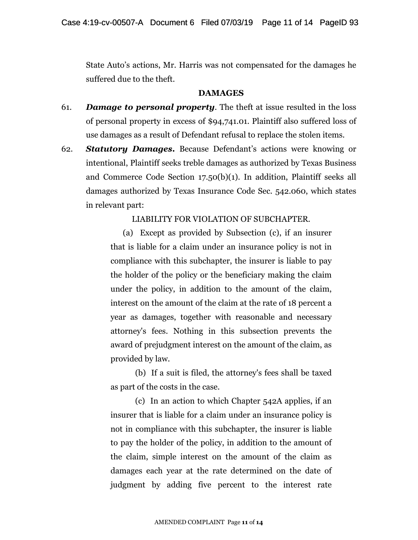State Auto's actions, Mr. Harris was not compensated for the damages he suffered due to the theft.

#### **DAMAGES**

- 61. *Damage to personal property*. The theft at issue resulted in the loss of personal property in excess of \$94,741.01. Plaintiff also suffered loss of use damages as a result of Defendant refusal to replace the stolen items.
- 62. *Statutory Damages***.** Because Defendant's actions were knowing or intentional, Plaintiff seeks treble damages as authorized by Texas Business and Commerce Code Section 17.50(b)(1). In addition, Plaintiff seeks all damages authorized by Texas Insurance Code Sec. 542.060, which states in relevant part:

LIABILITY FOR VIOLATION OF SUBCHAPTER.

(a) Except as provided by Subsection (c), if an insurer that is liable for a claim under an insurance policy is not in compliance with this subchapter, the insurer is liable to pay the holder of the policy or the beneficiary making the claim under the policy, in addition to the amount of the claim, interest on the amount of the claim at the rate of 18 percent a year as damages, together with reasonable and necessary attorney's fees. Nothing in this subsection prevents the award of prejudgment interest on the amount of the claim, as provided by law.

(b) If a suit is filed, the attorney's fees shall be taxed as part of the costs in the case.

(c) In an action to which Chapter 542A applies, if an insurer that is liable for a claim under an insurance policy is not in compliance with this subchapter, the insurer is liable to pay the holder of the policy, in addition to the amount of the claim, simple interest on the amount of the claim as damages each year at the rate determined on the date of judgment by adding five percent to the interest rate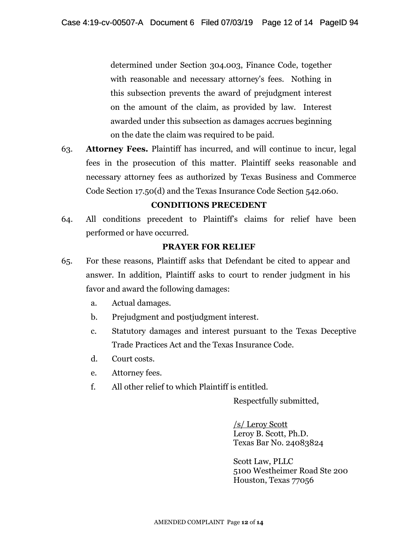determined under Section 304.003, Finance Code, together with reasonable and necessary attorney's fees. Nothing in this subsection prevents the award of prejudgment interest on the amount of the claim, as provided by law. Interest awarded under this subsection as damages accrues beginning on the date the claim was required to be paid.

63. **Attorney Fees.** Plaintiff has incurred, and will continue to incur, legal fees in the prosecution of this matter. Plaintiff seeks reasonable and necessary attorney fees as authorized by Texas Business and Commerce Code Section 17.50(d) and the Texas Insurance Code Section 542.060.

### **CONDITIONS PRECEDENT**

64. All conditions precedent to Plaintiff's claims for relief have been performed or have occurred.

#### **PRAYER FOR RELIEF**

- 65. For these reasons, Plaintiff asks that Defendant be cited to appear and answer. In addition, Plaintiff asks to court to render judgment in his favor and award the following damages:
	- a. Actual damages.
	- b. Prejudgment and postjudgment interest.
	- c. Statutory damages and interest pursuant to the Texas Deceptive Trade Practices Act and the Texas Insurance Code.
	- d. Court costs.
	- e. Attorney fees.
	- f. All other relief to which Plaintiff is entitled.

Respectfully submitted,

/s/ Leroy Scott Leroy B. Scott, Ph.D. Texas Bar No. 24083824

Scott Law, PLLC 5100 Westheimer Road Ste 200 Houston, Texas 77056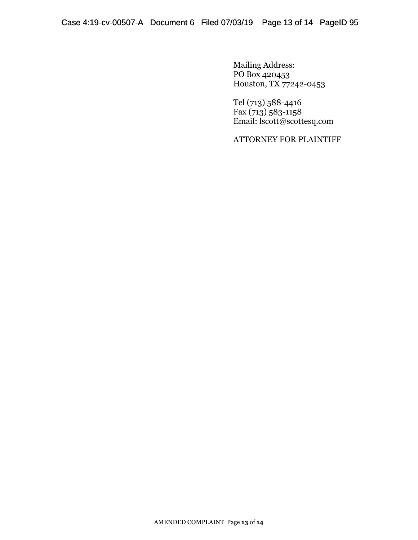Mailing Address: PO Box 420453 Houston, TX 77242-0453

Tel (713) 588-4416 Fax  $(713)$  583-1158 Email: lscott@scottesq.com

ATTORNEY FOR PLAINTIFF